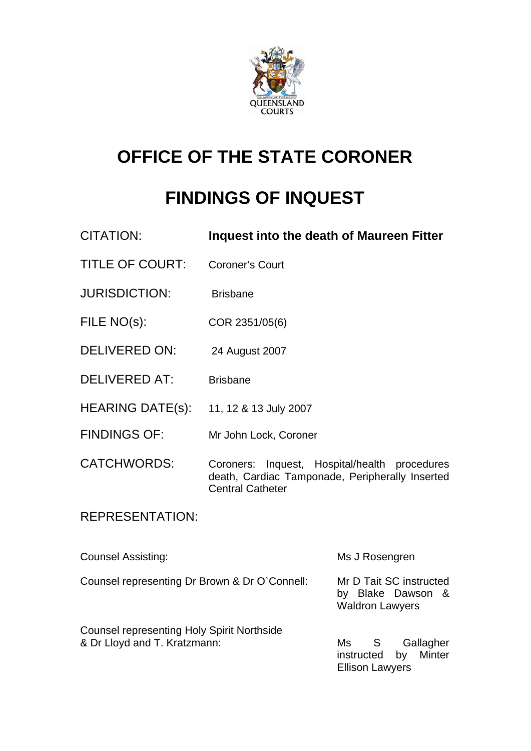

# **OFFICE OF THE STATE CORONER**

# **FINDINGS OF INQUEST**

| <b>CITATION:</b>                                                                  | Inquest into the death of Maureen Fitter                                                                            |                                                                           |
|-----------------------------------------------------------------------------------|---------------------------------------------------------------------------------------------------------------------|---------------------------------------------------------------------------|
| <b>TITLE OF COURT:</b>                                                            | <b>Coroner's Court</b>                                                                                              |                                                                           |
| <b>JURISDICTION:</b>                                                              | <b>Brisbane</b>                                                                                                     |                                                                           |
| FILE NO(s):                                                                       | COR 2351/05(6)                                                                                                      |                                                                           |
| <b>DELIVERED ON:</b>                                                              | 24 August 2007                                                                                                      |                                                                           |
| <b>DELIVERED AT:</b>                                                              | <b>Brisbane</b>                                                                                                     |                                                                           |
| <b>HEARING DATE(s):</b>                                                           | 11, 12 & 13 July 2007                                                                                               |                                                                           |
| <b>FINDINGS OF:</b>                                                               | Mr John Lock, Coroner                                                                                               |                                                                           |
| <b>CATCHWORDS:</b>                                                                | Inquest, Hospital/health<br>Coroners:<br>death, Cardiac Tamponade, Peripherally Inserted<br><b>Central Catheter</b> | procedures                                                                |
| <b>REPRESENTATION:</b>                                                            |                                                                                                                     |                                                                           |
| <b>Counsel Assisting:</b>                                                         |                                                                                                                     | Ms J Rosengren                                                            |
| Counsel representing Dr Brown & Dr O'Connell:                                     |                                                                                                                     | Mr D Tait SC instructed<br>by Blake Dawson<br>&<br><b>Waldron Lawyers</b> |
| <b>Counsel representing Holy Spirit Northside</b><br>& Dr Lloyd and T. Kratzmann: |                                                                                                                     | Ms<br>S —<br>Gallagher<br><b>Minter</b><br>instructed<br>by               |

Ellison Lawyers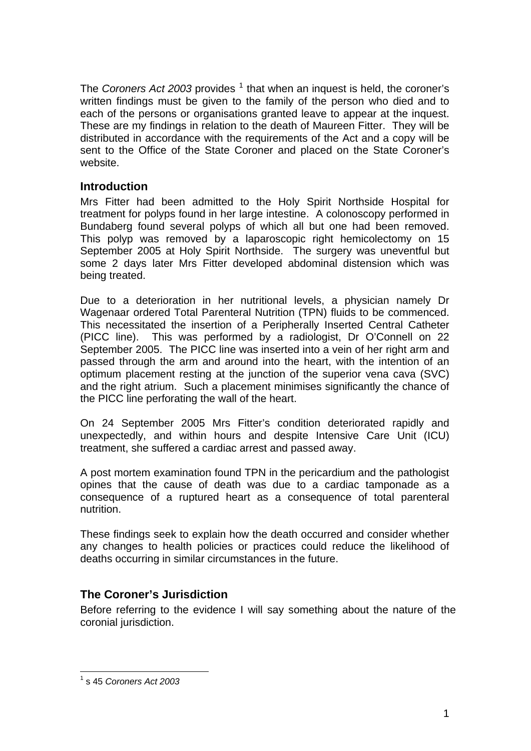The *Coroners Act 2003* provides <sup>[1](#page-1-0)</sup> that when an inquest is held, the coroner's written findings must be given to the family of the person who died and to each of the persons or organisations granted leave to appear at the inquest. These are my findings in relation to the death of Maureen Fitter. They will be distributed in accordance with the requirements of the Act and a copy will be sent to the Office of the State Coroner and placed on the State Coroner's website.

## **Introduction**

Mrs Fitter had been admitted to the Holy Spirit Northside Hospital for treatment for polyps found in her large intestine. A colonoscopy performed in Bundaberg found several polyps of which all but one had been removed. This polyp was removed by a laparoscopic right hemicolectomy on 15 September 2005 at Holy Spirit Northside. The surgery was uneventful but some 2 days later Mrs Fitter developed abdominal distension which was being treated.

Due to a deterioration in her nutritional levels, a physician namely Dr Wagenaar ordered Total Parenteral Nutrition (TPN) fluids to be commenced. This necessitated the insertion of a Peripherally Inserted Central Catheter (PICC line). This was performed by a radiologist, Dr O'Connell on 22 September 2005. The PICC line was inserted into a vein of her right arm and passed through the arm and around into the heart, with the intention of an optimum placement resting at the junction of the superior vena cava (SVC) and the right atrium. Such a placement minimises significantly the chance of the PICC line perforating the wall of the heart.

On 24 September 2005 Mrs Fitter's condition deteriorated rapidly and unexpectedly, and within hours and despite Intensive Care Unit (ICU) treatment, she suffered a cardiac arrest and passed away.

A post mortem examination found TPN in the pericardium and the pathologist opines that the cause of death was due to a cardiac tamponade as a consequence of a ruptured heart as a consequence of total parenteral nutrition.

These findings seek to explain how the death occurred and consider whether any changes to health policies or practices could reduce the likelihood of deaths occurring in similar circumstances in the future.

## **The Coroner's Jurisdiction**

Before referring to the evidence I will say something about the nature of the coronial jurisdiction.

<span id="page-1-0"></span> 1 s 45 *Coroners Act 2003*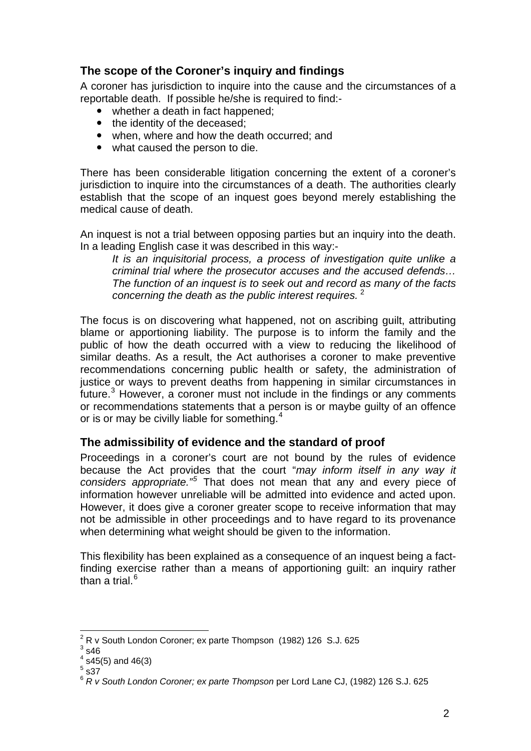## **The scope of the Coroner's inquiry and findings**

A coroner has jurisdiction to inquire into the cause and the circumstances of a reportable death. If possible he/she is required to find:-

- whether a death in fact happened;
- the identity of the deceased;
- $\bullet$  when, where and how the death occurred; and
- what caused the person to die.

There has been considerable litigation concerning the extent of a coroner's jurisdiction to inquire into the circumstances of a death. The authorities clearly establish that the scope of an inquest goes beyond merely establishing the medical cause of death.

An inquest is not a trial between opposing parties but an inquiry into the death. In a leading English case it was described in this way:-

*It is an inquisitorial process, a process of investigation quite unlike a criminal trial where the prosecutor accuses and the accused defends… The function of an inquest is to seek out and record as many of the facts concerning the death as the public interest requires.* [2](#page-2-0)

The focus is on discovering what happened, not on ascribing guilt, attributing blame or apportioning liability. The purpose is to inform the family and the public of how the death occurred with a view to reducing the likelihood of similar deaths. As a result, the Act authorises a coroner to make preventive recommendations concerning public health or safety, the administration of justice or ways to prevent deaths from happening in similar circumstances in future. $3$  However, a coroner must not include in the findings or any comments or recommendations statements that a person is or maybe guilty of an offence or is or may be civilly liable for something.<sup>[4](#page-2-2)</sup>

## **The admissibility of evidence and the standard of proof**

Proceedings in a coroner's court are not bound by the rules of evidence because the Act provides that the court "*may inform itself in any way it considers appropriate."[5](#page-2-3)* That does not mean that any and every piece of information however unreliable will be admitted into evidence and acted upon. However, it does give a coroner greater scope to receive information that may not be admissible in other proceedings and to have regard to its provenance when determining what weight should be given to the information.

This flexibility has been explained as a consequence of an inquest being a factfinding exercise rather than a means of apportioning guilt: an inquiry rather than a trial. $^6$  $^6$ 

<sup>1</sup>  $\frac{2}{3}$  R v South London Coroner; ex parte Thompson (1982) 126 S.J. 625

<span id="page-2-1"></span><span id="page-2-0"></span> $3$  s46

<span id="page-2-2"></span> $4$  s45(5) and 46(3)

<span id="page-2-3"></span> $<sup>5</sup>$  s37</sup>

<span id="page-2-4"></span><sup>6</sup> *R v South London Coroner; ex parte Thompson* per Lord Lane CJ, (1982) 126 S.J. 625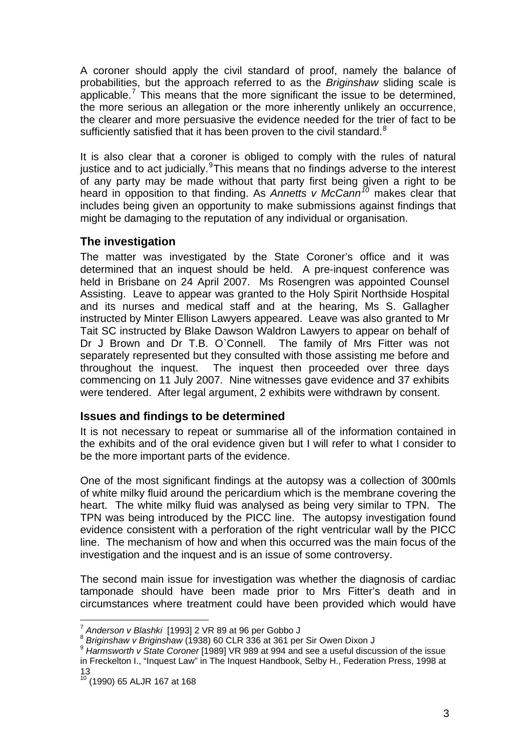A coroner should apply the civil standard of proof, namely the balance of probabilities, but the approach referred to as the *Briginshaw* sliding scale is applicable.<sup>[7](#page-3-0)</sup> This means that the more significant the issue to be determined, the more serious an allegation or the more inherently unlikely an occurrence, the clearer and more persuasive the evidence needed for the trier of fact to be sufficiently satisfied that it has been proven to the civil standard. $8$ 

It is also clear that a coroner is obliged to comply with the rules of natural justice and to act judicially. This means that no findings adverse to the interest of any party may be made without that party first being given a right to be heard in opposition to that finding. As *Annetts v McCann[10](#page-3-3)* makes clear that includes being given an opportunity to make submissions against findings that might be damaging to the reputation of any individual or organisation.

## **The investigation**

The matter was investigated by the State Coroner's office and it was determined that an inquest should be held. A pre-inquest conference was held in Brisbane on 24 April 2007. Ms Rosengren was appointed Counsel Assisting. Leave to appear was granted to the Holy Spirit Northside Hospital and its nurses and medical staff and at the hearing, Ms S. Gallagher instructed by Minter Ellison Lawyers appeared. Leave was also granted to Mr Tait SC instructed by Blake Dawson Waldron Lawyers to appear on behalf of Dr J Brown and Dr T.B. O`Connell. The family of Mrs Fitter was not separately represented but they consulted with those assisting me before and throughout the inquest. The inquest then proceeded over three days commencing on 11 July 2007. Nine witnesses gave evidence and 37 exhibits were tendered. After legal argument, 2 exhibits were withdrawn by consent.

## **Issues and findings to be determined**

It is not necessary to repeat or summarise all of the information contained in the exhibits and of the oral evidence given but I will refer to what I consider to be the more important parts of the evidence.

One of the most significant findings at the autopsy was a collection of 300mls of white milky fluid around the pericardium which is the membrane covering the heart. The white milky fluid was analysed as being very similar to TPN. The TPN was being introduced by the PICC line. The autopsy investigation found evidence consistent with a perforation of the right ventricular wall by the PICC line. The mechanism of how and when this occurred was the main focus of the investigation and the inquest and is an issue of some controversy.

The second main issue for investigation was whether the diagnosis of cardiac tamponade should have been made prior to Mrs Fitter's death and in circumstances where treatment could have been provided which would have

<sup>&</sup>lt;sup>7</sup> Anderson v Blashki [1993] 2 VR 89 at 96 per Gobbo J

<span id="page-3-2"></span>

<span id="page-3-1"></span><span id="page-3-0"></span><sup>8</sup> Briginshaw v Briginshaw (1938) 60 CLR 336 at 361 per Sir Owen Dixon J<br>9 Harmsworth v State Coroner [1989] VR 989 at 994 and see a useful discussion of the issue in Freckelton I., "Inquest Law" in The Inquest Handbook, Selby H., Federation Press, 1998 at 13

<span id="page-3-3"></span> $10^{10}$  (1990) 65 ALJR 167 at 168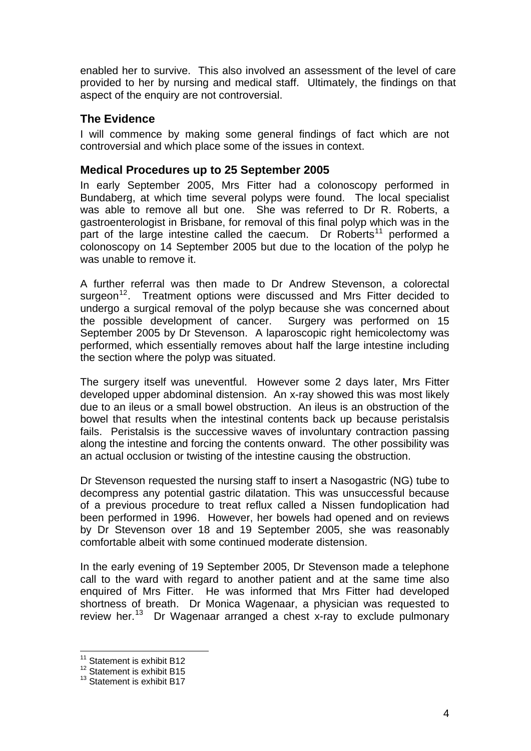enabled her to survive. This also involved an assessment of the level of care provided to her by nursing and medical staff. Ultimately, the findings on that aspect of the enquiry are not controversial.

## **The Evidence**

I will commence by making some general findings of fact which are not controversial and which place some of the issues in context.

### **Medical Procedures up to 25 September 2005**

In early September 2005, Mrs Fitter had a colonoscopy performed in Bundaberg, at which time several polyps were found. The local specialist was able to remove all but one. She was referred to Dr R. Roberts, a gastroenterologist in Brisbane, for removal of this final polyp which was in the part of the large intestine called the caecum. Dr Roberts<sup>[11](#page-4-0)</sup> performed a colonoscopy on 14 September 2005 but due to the location of the polyp he was unable to remove it.

A further referral was then made to Dr Andrew Stevenson, a colorectal surgeon<sup>[12](#page-4-1)</sup>. Treatment options were discussed and Mrs Fitter decided to undergo a surgical removal of the polyp because she was concerned about the possible development of cancer. Surgery was performed on 15 September 2005 by Dr Stevenson. A laparoscopic right hemicolectomy was performed, which essentially removes about half the large intestine including the section where the polyp was situated.

The surgery itself was uneventful. However some 2 days later, Mrs Fitter developed upper abdominal distension. An x-ray showed this was most likely due to an ileus or a small bowel obstruction. An ileus is an obstruction of the bowel that results when the intestinal contents back up because peristalsis fails. Peristalsis is the successive waves of involuntary contraction passing along the intestine and forcing the contents onward. The other possibility was an actual occlusion or twisting of the intestine causing the obstruction.

Dr Stevenson requested the nursing staff to insert a Nasogastric (NG) tube to decompress any potential gastric dilatation. This was unsuccessful because of a previous procedure to treat reflux called a Nissen fundoplication had been performed in 1996. However, her bowels had opened and on reviews by Dr Stevenson over 18 and 19 September 2005, she was reasonably comfortable albeit with some continued moderate distension.

In the early evening of 19 September 2005, Dr Stevenson made a telephone call to the ward with regard to another patient and at the same time also enquired of Mrs Fitter. He was informed that Mrs Fitter had developed shortness of breath. Dr Monica Wagenaar, a physician was requested to review her.<sup>[13](#page-4-2)</sup> Dr Wagenaar arranged a chest x-ray to exclude pulmonary

<sup>1</sup> <sup>11</sup> Statement is exhibit B12

<span id="page-4-1"></span><span id="page-4-0"></span><sup>&</sup>lt;sup>12</sup> Statement is exhibit B15

<span id="page-4-2"></span><sup>&</sup>lt;sup>13</sup> Statement is exhibit B17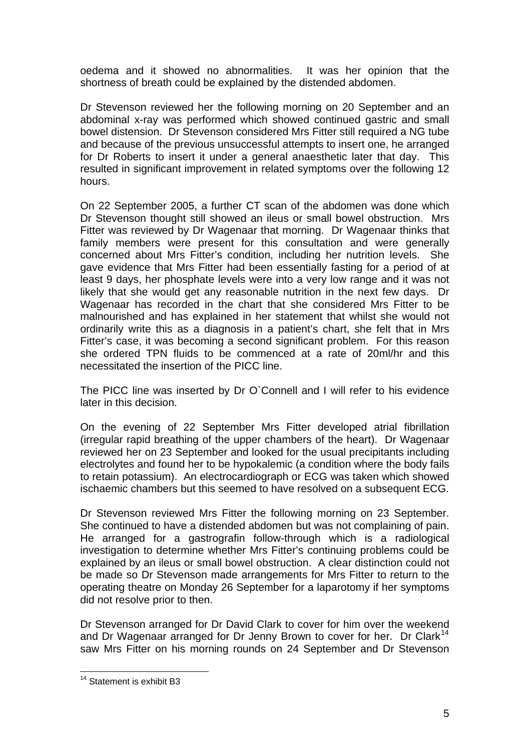oedema and it showed no abnormalities. It was her opinion that the shortness of breath could be explained by the distended abdomen.

Dr Stevenson reviewed her the following morning on 20 September and an abdominal x-ray was performed which showed continued gastric and small bowel distension. Dr Stevenson considered Mrs Fitter still required a NG tube and because of the previous unsuccessful attempts to insert one, he arranged for Dr Roberts to insert it under a general anaesthetic later that day. This resulted in significant improvement in related symptoms over the following 12 hours.

On 22 September 2005, a further CT scan of the abdomen was done which Dr Stevenson thought still showed an ileus or small bowel obstruction. Mrs Fitter was reviewed by Dr Wagenaar that morning. Dr Wagenaar thinks that family members were present for this consultation and were generally concerned about Mrs Fitter's condition, including her nutrition levels. She gave evidence that Mrs Fitter had been essentially fasting for a period of at least 9 days, her phosphate levels were into a very low range and it was not likely that she would get any reasonable nutrition in the next few days. Dr Wagenaar has recorded in the chart that she considered Mrs Fitter to be malnourished and has explained in her statement that whilst she would not ordinarily write this as a diagnosis in a patient's chart, she felt that in Mrs Fitter's case, it was becoming a second significant problem. For this reason she ordered TPN fluids to be commenced at a rate of 20ml/hr and this necessitated the insertion of the PICC line.

The PICC line was inserted by Dr O`Connell and I will refer to his evidence later in this decision.

On the evening of 22 September Mrs Fitter developed atrial fibrillation (irregular rapid breathing of the upper chambers of the heart). Dr Wagenaar reviewed her on 23 September and looked for the usual precipitants including electrolytes and found her to be hypokalemic (a condition where the body fails to retain potassium). An electrocardiograph or ECG was taken which showed ischaemic chambers but this seemed to have resolved on a subsequent ECG.

Dr Stevenson reviewed Mrs Fitter the following morning on 23 September. She continued to have a distended abdomen but was not complaining of pain. He arranged for a gastrografin follow-through which is a radiological investigation to determine whether Mrs Fitter's continuing problems could be explained by an ileus or small bowel obstruction. A clear distinction could not be made so Dr Stevenson made arrangements for Mrs Fitter to return to the operating theatre on Monday 26 September for a laparotomy if her symptoms did not resolve prior to then.

Dr Stevenson arranged for Dr David Clark to cover for him over the weekend and Dr Wagenaar arranged for Dr Jenny Brown to cover for her. Dr Clark<sup>[14](#page-5-0)</sup> saw Mrs Fitter on his morning rounds on 24 September and Dr Stevenson

<span id="page-5-0"></span><sup>1</sup> <sup>14</sup> Statement is exhibit B3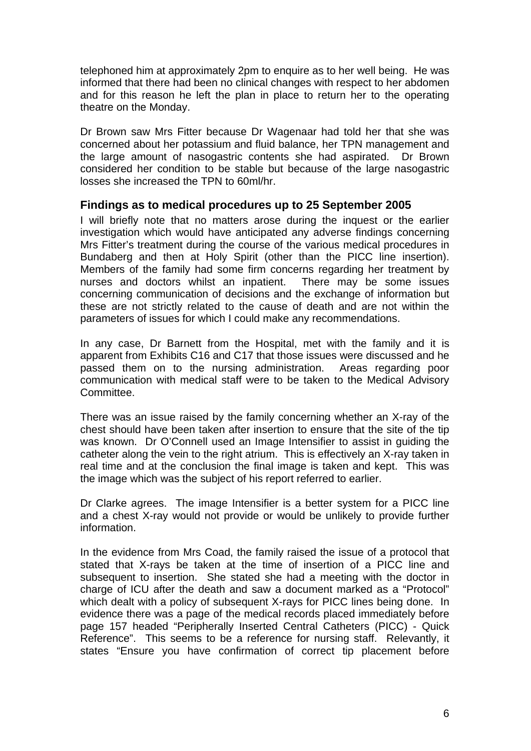telephoned him at approximately 2pm to enquire as to her well being. He was informed that there had been no clinical changes with respect to her abdomen and for this reason he left the plan in place to return her to the operating theatre on the Monday.

Dr Brown saw Mrs Fitter because Dr Wagenaar had told her that she was concerned about her potassium and fluid balance, her TPN management and the large amount of nasogastric contents she had aspirated. Dr Brown considered her condition to be stable but because of the large nasogastric losses she increased the TPN to 60ml/hr.

#### **Findings as to medical procedures up to 25 September 2005**

I will briefly note that no matters arose during the inquest or the earlier investigation which would have anticipated any adverse findings concerning Mrs Fitter's treatment during the course of the various medical procedures in Bundaberg and then at Holy Spirit (other than the PICC line insertion). Members of the family had some firm concerns regarding her treatment by nurses and doctors whilst an inpatient. There may be some issues concerning communication of decisions and the exchange of information but these are not strictly related to the cause of death and are not within the parameters of issues for which I could make any recommendations.

In any case, Dr Barnett from the Hospital, met with the family and it is apparent from Exhibits C16 and C17 that those issues were discussed and he passed them on to the nursing administration. Areas regarding poor communication with medical staff were to be taken to the Medical Advisory **Committee.** 

There was an issue raised by the family concerning whether an X-ray of the chest should have been taken after insertion to ensure that the site of the tip was known. Dr O'Connell used an Image Intensifier to assist in guiding the catheter along the vein to the right atrium. This is effectively an X-ray taken in real time and at the conclusion the final image is taken and kept. This was the image which was the subject of his report referred to earlier.

Dr Clarke agrees. The image Intensifier is a better system for a PICC line and a chest X-ray would not provide or would be unlikely to provide further information.

In the evidence from Mrs Coad, the family raised the issue of a protocol that stated that X-rays be taken at the time of insertion of a PICC line and subsequent to insertion. She stated she had a meeting with the doctor in charge of ICU after the death and saw a document marked as a "Protocol" which dealt with a policy of subsequent X-rays for PICC lines being done. In evidence there was a page of the medical records placed immediately before page 157 headed "Peripherally Inserted Central Catheters (PICC) - Quick Reference". This seems to be a reference for nursing staff. Relevantly, it states "Ensure you have confirmation of correct tip placement before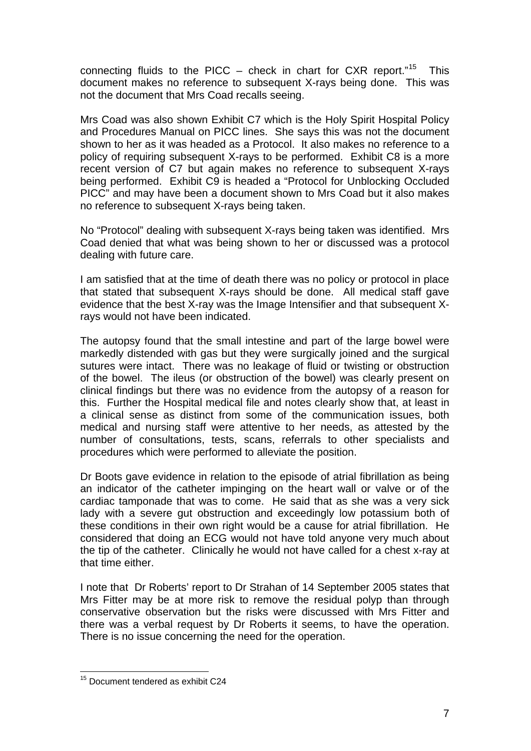connecting fluids to the PICC – check in chart for CXR report."<sup>[15](#page-7-0)</sup> This document makes no reference to subsequent X-rays being done. This was not the document that Mrs Coad recalls seeing.

Mrs Coad was also shown Exhibit C7 which is the Holy Spirit Hospital Policy and Procedures Manual on PICC lines. She says this was not the document shown to her as it was headed as a Protocol. It also makes no reference to a policy of requiring subsequent X-rays to be performed. Exhibit C8 is a more recent version of C7 but again makes no reference to subsequent X-rays being performed. Exhibit C9 is headed a "Protocol for Unblocking Occluded PICC" and may have been a document shown to Mrs Coad but it also makes no reference to subsequent X-rays being taken.

No "Protocol" dealing with subsequent X-rays being taken was identified. Mrs Coad denied that what was being shown to her or discussed was a protocol dealing with future care.

I am satisfied that at the time of death there was no policy or protocol in place that stated that subsequent X-rays should be done. All medical staff gave evidence that the best X-ray was the Image Intensifier and that subsequent Xrays would not have been indicated.

The autopsy found that the small intestine and part of the large bowel were markedly distended with gas but they were surgically joined and the surgical sutures were intact. There was no leakage of fluid or twisting or obstruction of the bowel. The ileus (or obstruction of the bowel) was clearly present on clinical findings but there was no evidence from the autopsy of a reason for this. Further the Hospital medical file and notes clearly show that, at least in a clinical sense as distinct from some of the communication issues, both medical and nursing staff were attentive to her needs, as attested by the number of consultations, tests, scans, referrals to other specialists and procedures which were performed to alleviate the position.

Dr Boots gave evidence in relation to the episode of atrial fibrillation as being an indicator of the catheter impinging on the heart wall or valve or of the cardiac tamponade that was to come. He said that as she was a very sick lady with a severe gut obstruction and exceedingly low potassium both of these conditions in their own right would be a cause for atrial fibrillation. He considered that doing an ECG would not have told anyone very much about the tip of the catheter. Clinically he would not have called for a chest x-ray at that time either.

I note that Dr Roberts' report to Dr Strahan of 14 September 2005 states that Mrs Fitter may be at more risk to remove the residual polyp than through conservative observation but the risks were discussed with Mrs Fitter and there was a verbal request by Dr Roberts it seems, to have the operation. There is no issue concerning the need for the operation.

<span id="page-7-0"></span><sup>1</sup> <sup>15</sup> Document tendered as exhibit C24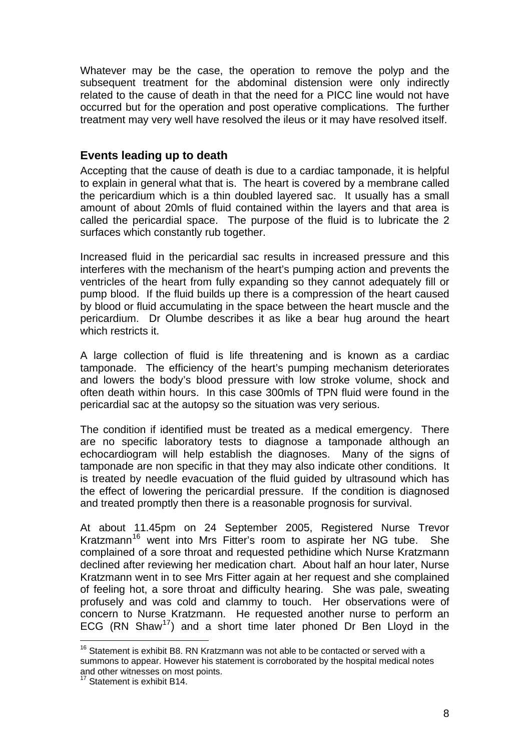Whatever may be the case, the operation to remove the polyp and the subsequent treatment for the abdominal distension were only indirectly related to the cause of death in that the need for a PICC line would not have occurred but for the operation and post operative complications. The further treatment may very well have resolved the ileus or it may have resolved itself.

## **Events leading up to death**

Accepting that the cause of death is due to a cardiac tamponade, it is helpful to explain in general what that is. The heart is covered by a membrane called the pericardium which is a thin doubled layered sac. It usually has a small amount of about 20mls of fluid contained within the layers and that area is called the pericardial space. The purpose of the fluid is to lubricate the 2 surfaces which constantly rub together.

Increased fluid in the pericardial sac results in increased pressure and this interferes with the mechanism of the heart's pumping action and prevents the ventricles of the heart from fully expanding so they cannot adequately fill or pump blood. If the fluid builds up there is a compression of the heart caused by blood or fluid accumulating in the space between the heart muscle and the pericardium. Dr Olumbe describes it as like a bear hug around the heart which restricts it.

A large collection of fluid is life threatening and is known as a cardiac tamponade. The efficiency of the heart's pumping mechanism deteriorates and lowers the body's blood pressure with low stroke volume, shock and often death within hours. In this case 300mls of TPN fluid were found in the pericardial sac at the autopsy so the situation was very serious.

The condition if identified must be treated as a medical emergency. There are no specific laboratory tests to diagnose a tamponade although an echocardiogram will help establish the diagnoses. Many of the signs of tamponade are non specific in that they may also indicate other conditions. It is treated by needle evacuation of the fluid guided by ultrasound which has the effect of lowering the pericardial pressure. If the condition is diagnosed and treated promptly then there is a reasonable prognosis for survival.

At about 11.45pm on 24 September 2005, Registered Nurse Trevor Kratzmann<sup>[16](#page-8-0)</sup> went into Mrs Fitter's room to aspirate her NG tube. She complained of a sore throat and requested pethidine which Nurse Kratzmann declined after reviewing her medication chart. About half an hour later, Nurse Kratzmann went in to see Mrs Fitter again at her request and she complained of feeling hot, a sore throat and difficulty hearing. She was pale, sweating profusely and was cold and clammy to touch. Her observations were of concern to Nurse Kratzmann. He requested another nurse to perform an ECG (RN Shaw<sup>[17](#page-8-1)</sup>) and a short time later phoned Dr Ben Lloyd in the

<span id="page-8-0"></span> $16$  Statement is exhibit B8. RN Kratzmann was not able to be contacted or served with a summons to appear. However his statement is corroborated by the hospital medical notes and other witnesses on most points.

<span id="page-8-1"></span><sup>&</sup>lt;sup>17</sup> Statement is exhibit B14.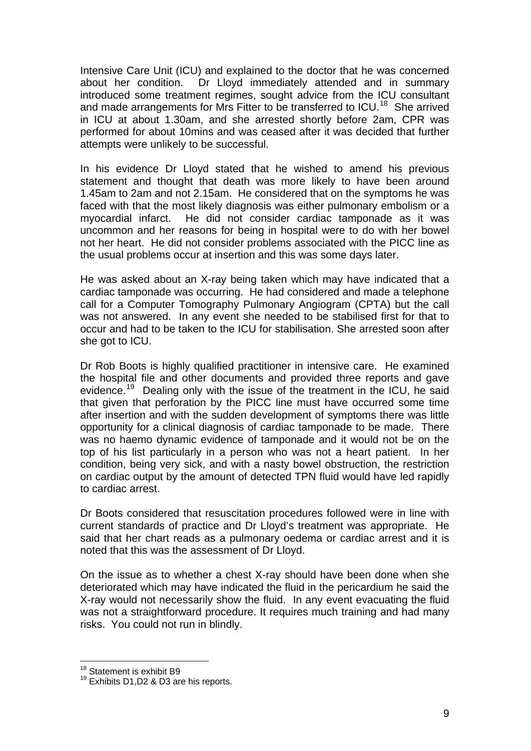Intensive Care Unit (ICU) and explained to the doctor that he was concerned about her condition. Dr Lloyd immediately attended and in summary introduced some treatment regimes, sought advice from the ICU consultant and made arrangements for Mrs Fitter to be transferred to ICU.<sup>[18](#page-9-0)</sup> She arrived in ICU at about 1.30am, and she arrested shortly before 2am, CPR was performed for about 10mins and was ceased after it was decided that further attempts were unlikely to be successful.

In his evidence Dr Lloyd stated that he wished to amend his previous statement and thought that death was more likely to have been around 1.45am to 2am and not 2.15am. He considered that on the symptoms he was faced with that the most likely diagnosis was either pulmonary embolism or a myocardial infarct. He did not consider cardiac tamponade as it was uncommon and her reasons for being in hospital were to do with her bowel not her heart. He did not consider problems associated with the PICC line as the usual problems occur at insertion and this was some days later.

He was asked about an X-ray being taken which may have indicated that a cardiac tamponade was occurring. He had considered and made a telephone call for a Computer Tomography Pulmonary Angiogram (CPTA) but the call was not answered. In any event she needed to be stabilised first for that to occur and had to be taken to the ICU for stabilisation. She arrested soon after she got to ICU.

Dr Rob Boots is highly qualified practitioner in intensive care. He examined the hospital file and other documents and provided three reports and gave evidence.<sup>[19](#page-9-1)</sup> Dealing only with the issue of the treatment in the ICU, he said that given that perforation by the PICC line must have occurred some time after insertion and with the sudden development of symptoms there was little opportunity for a clinical diagnosis of cardiac tamponade to be made. There was no haemo dynamic evidence of tamponade and it would not be on the top of his list particularly in a person who was not a heart patient. In her condition, being very sick, and with a nasty bowel obstruction, the restriction on cardiac output by the amount of detected TPN fluid would have led rapidly to cardiac arrest.

Dr Boots considered that resuscitation procedures followed were in line with current standards of practice and Dr Lloyd's treatment was appropriate. He said that her chart reads as a pulmonary oedema or cardiac arrest and it is noted that this was the assessment of Dr Lloyd.

On the issue as to whether a chest X-ray should have been done when she deteriorated which may have indicated the fluid in the pericardium he said the X-ray would not necessarily show the fluid. In any event evacuating the fluid was not a straightforward procedure. It requires much training and had many risks. You could not run in blindly.

<span id="page-9-0"></span><sup>&</sup>lt;sup>18</sup> Statement is exhibit B9

<span id="page-9-1"></span><sup>&</sup>lt;sup>19</sup> Exhibits D1, D2 & D3 are his reports.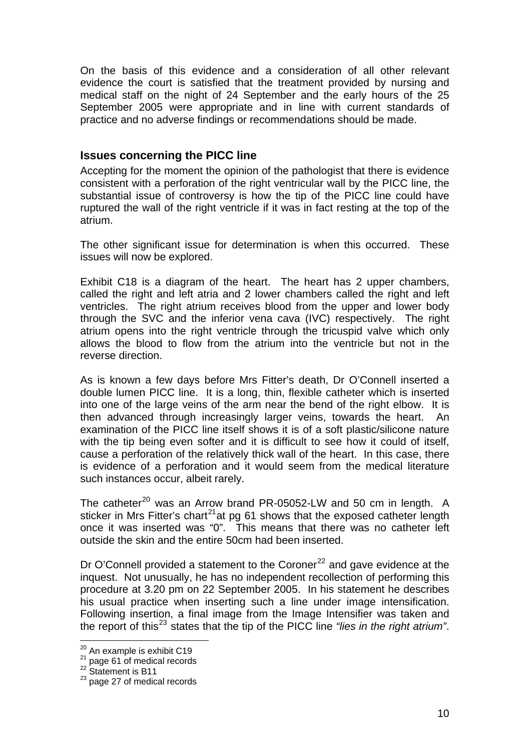On the basis of this evidence and a consideration of all other relevant evidence the court is satisfied that the treatment provided by nursing and medical staff on the night of 24 September and the early hours of the 25 September 2005 were appropriate and in line with current standards of practice and no adverse findings or recommendations should be made.

#### **Issues concerning the PICC line**

Accepting for the moment the opinion of the pathologist that there is evidence consistent with a perforation of the right ventricular wall by the PICC line, the substantial issue of controversy is how the tip of the PICC line could have ruptured the wall of the right ventricle if it was in fact resting at the top of the atrium.

The other significant issue for determination is when this occurred. These issues will now be explored.

Exhibit C18 is a diagram of the heart. The heart has 2 upper chambers, called the right and left atria and 2 lower chambers called the right and left ventricles. The right atrium receives blood from the upper and lower body through the SVC and the inferior vena cava (IVC) respectively. The right atrium opens into the right ventricle through the tricuspid valve which only allows the blood to flow from the atrium into the ventricle but not in the reverse direction.

As is known a few days before Mrs Fitter's death, Dr O'Connell inserted a double lumen PICC line. It is a long, thin, flexible catheter which is inserted into one of the large veins of the arm near the bend of the right elbow. It is then advanced through increasingly larger veins, towards the heart. An examination of the PICC line itself shows it is of a soft plastic/silicone nature with the tip being even softer and it is difficult to see how it could of itself, cause a perforation of the relatively thick wall of the heart. In this case, there is evidence of a perforation and it would seem from the medical literature such instances occur, albeit rarely.

The catheter<sup>[20](#page-10-0)</sup> was an Arrow brand PR-05052-LW and 50 cm in length. A sticker in Mrs Fitter's chart<sup>[21](#page-10-1)</sup> at pg 61 shows that the exposed catheter length once it was inserted was "0". This means that there was no catheter left outside the skin and the entire 50cm had been inserted.

Dr O'Connell provided a statement to the Coroner<sup>[22](#page-10-2)</sup> and gave evidence at the inquest. Not unusually, he has no independent recollection of performing this procedure at 3.20 pm on 22 September 2005. In his statement he describes his usual practice when inserting such a line under image intensification. Following insertion, a final image from the Image Intensifier was taken and the report of this[23](#page-10-3) states that the tip of the PICC line *"lies in the right atrium"*.

<span id="page-10-0"></span> $20$  An example is exhibit C19

<span id="page-10-2"></span><span id="page-10-1"></span> $^{21}$  page 61 of medical records<br> $^{22}$  Statement is B11

<span id="page-10-3"></span> $^{23}$  page 27 of medical records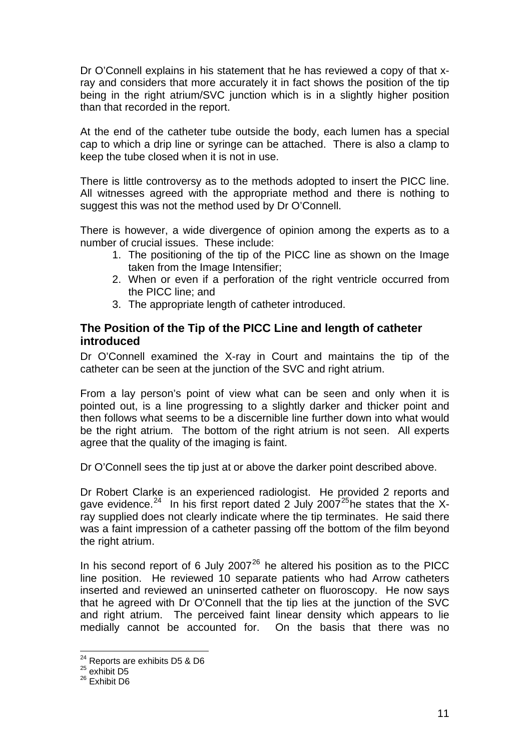Dr O'Connell explains in his statement that he has reviewed a copy of that xray and considers that more accurately it in fact shows the position of the tip being in the right atrium/SVC junction which is in a slightly higher position than that recorded in the report.

At the end of the catheter tube outside the body, each lumen has a special cap to which a drip line or syringe can be attached. There is also a clamp to keep the tube closed when it is not in use.

There is little controversy as to the methods adopted to insert the PICC line. All witnesses agreed with the appropriate method and there is nothing to suggest this was not the method used by Dr O'Connell.

There is however, a wide divergence of opinion among the experts as to a number of crucial issues. These include:

- 1. The positioning of the tip of the PICC line as shown on the Image taken from the Image Intensifier;
- 2. When or even if a perforation of the right ventricle occurred from the PICC line; and
- 3. The appropriate length of catheter introduced.

## **The Position of the Tip of the PICC Line and length of catheter introduced**

Dr O'Connell examined the X-ray in Court and maintains the tip of the catheter can be seen at the junction of the SVC and right atrium.

From a lay person's point of view what can be seen and only when it is pointed out, is a line progressing to a slightly darker and thicker point and then follows what seems to be a discernible line further down into what would be the right atrium. The bottom of the right atrium is not seen. All experts agree that the quality of the imaging is faint.

Dr O'Connell sees the tip just at or above the darker point described above.

Dr Robert Clarke is an experienced radiologist. He provided 2 reports and gave evidence.<sup>[24](#page-11-0)</sup> In his first report dated 2 July 2007<sup>[25](#page-11-1)</sup>he states that the Xray supplied does not clearly indicate where the tip terminates. He said there was a faint impression of a catheter passing off the bottom of the film beyond the right atrium.

In his second report of 6 July 2007 $^{26}$  $^{26}$  $^{26}$  he altered his position as to the PICC line position. He reviewed 10 separate patients who had Arrow catheters inserted and reviewed an uninserted catheter on fluoroscopy. He now says that he agreed with Dr O'Connell that the tip lies at the junction of the SVC and right atrium. The perceived faint linear density which appears to lie medially cannot be accounted for. On the basis that there was no

<sup>&</sup>lt;sup>24</sup> Reports are exhibits D5 & D6<br><sup>25</sup> exhibit D5

<span id="page-11-2"></span><span id="page-11-1"></span><span id="page-11-0"></span> $^{25}$  exhibit D5<br> $^{26}$  Exhibit D6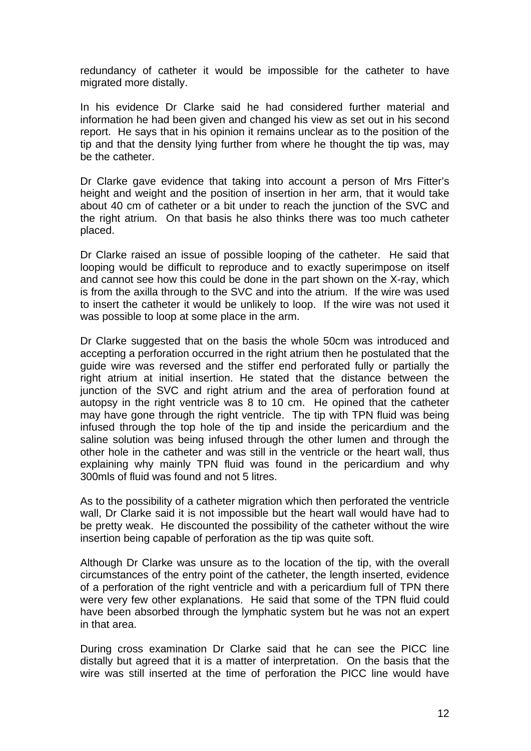redundancy of catheter it would be impossible for the catheter to have migrated more distally.

In his evidence Dr Clarke said he had considered further material and information he had been given and changed his view as set out in his second report. He says that in his opinion it remains unclear as to the position of the tip and that the density lying further from where he thought the tip was, may be the catheter.

Dr Clarke gave evidence that taking into account a person of Mrs Fitter's height and weight and the position of insertion in her arm, that it would take about 40 cm of catheter or a bit under to reach the junction of the SVC and the right atrium. On that basis he also thinks there was too much catheter placed.

Dr Clarke raised an issue of possible looping of the catheter. He said that looping would be difficult to reproduce and to exactly superimpose on itself and cannot see how this could be done in the part shown on the X-ray, which is from the axilla through to the SVC and into the atrium. If the wire was used to insert the catheter it would be unlikely to loop. If the wire was not used it was possible to loop at some place in the arm.

Dr Clarke suggested that on the basis the whole 50cm was introduced and accepting a perforation occurred in the right atrium then he postulated that the guide wire was reversed and the stiffer end perforated fully or partially the right atrium at initial insertion. He stated that the distance between the junction of the SVC and right atrium and the area of perforation found at autopsy in the right ventricle was 8 to 10 cm. He opined that the catheter may have gone through the right ventricle. The tip with TPN fluid was being infused through the top hole of the tip and inside the pericardium and the saline solution was being infused through the other lumen and through the other hole in the catheter and was still in the ventricle or the heart wall, thus explaining why mainly TPN fluid was found in the pericardium and why 300mls of fluid was found and not 5 litres.

As to the possibility of a catheter migration which then perforated the ventricle wall, Dr Clarke said it is not impossible but the heart wall would have had to be pretty weak. He discounted the possibility of the catheter without the wire insertion being capable of perforation as the tip was quite soft.

Although Dr Clarke was unsure as to the location of the tip, with the overall circumstances of the entry point of the catheter, the length inserted, evidence of a perforation of the right ventricle and with a pericardium full of TPN there were very few other explanations. He said that some of the TPN fluid could have been absorbed through the lymphatic system but he was not an expert in that area.

During cross examination Dr Clarke said that he can see the PICC line distally but agreed that it is a matter of interpretation. On the basis that the wire was still inserted at the time of perforation the PICC line would have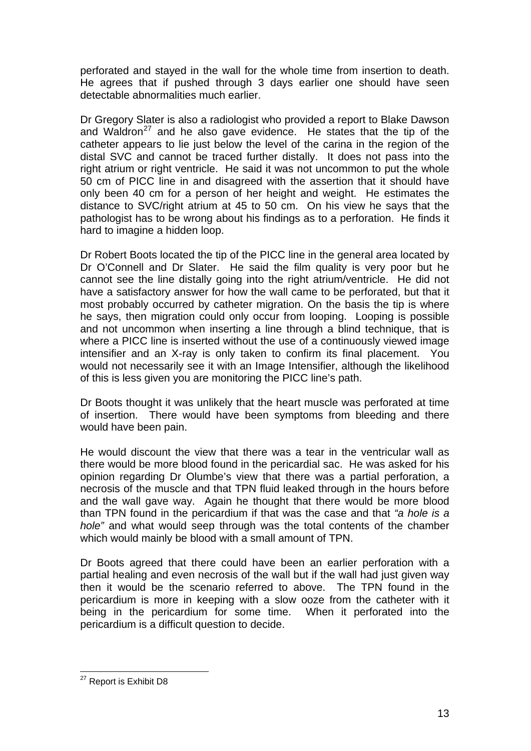perforated and stayed in the wall for the whole time from insertion to death. He agrees that if pushed through 3 days earlier one should have seen detectable abnormalities much earlier.

Dr Gregory Slater is also a radiologist who provided a report to Blake Dawson and Waldron<sup>[27](#page-13-0)</sup> and he also gave evidence. He states that the tip of the catheter appears to lie just below the level of the carina in the region of the distal SVC and cannot be traced further distally. It does not pass into the right atrium or right ventricle. He said it was not uncommon to put the whole 50 cm of PICC line in and disagreed with the assertion that it should have only been 40 cm for a person of her height and weight. He estimates the distance to SVC/right atrium at 45 to 50 cm. On his view he says that the pathologist has to be wrong about his findings as to a perforation. He finds it hard to imagine a hidden loop.

Dr Robert Boots located the tip of the PICC line in the general area located by Dr O'Connell and Dr Slater. He said the film quality is very poor but he cannot see the line distally going into the right atrium/ventricle. He did not have a satisfactory answer for how the wall came to be perforated, but that it most probably occurred by catheter migration. On the basis the tip is where he says, then migration could only occur from looping. Looping is possible and not uncommon when inserting a line through a blind technique, that is where a PICC line is inserted without the use of a continuously viewed image intensifier and an X-ray is only taken to confirm its final placement. You would not necessarily see it with an Image Intensifier, although the likelihood of this is less given you are monitoring the PICC line's path.

Dr Boots thought it was unlikely that the heart muscle was perforated at time of insertion. There would have been symptoms from bleeding and there would have been pain.

He would discount the view that there was a tear in the ventricular wall as there would be more blood found in the pericardial sac. He was asked for his opinion regarding Dr Olumbe's view that there was a partial perforation, a necrosis of the muscle and that TPN fluid leaked through in the hours before and the wall gave way. Again he thought that there would be more blood than TPN found in the pericardium if that was the case and that *"a hole is a hole"* and what would seep through was the total contents of the chamber which would mainly be blood with a small amount of TPN.

Dr Boots agreed that there could have been an earlier perforation with a partial healing and even necrosis of the wall but if the wall had just given way then it would be the scenario referred to above. The TPN found in the pericardium is more in keeping with a slow ooze from the catheter with it being in the pericardium for some time. When it perforated into the pericardium is a difficult question to decide.

<span id="page-13-0"></span><sup>1</sup> <sup>27</sup> Report is Exhibit D8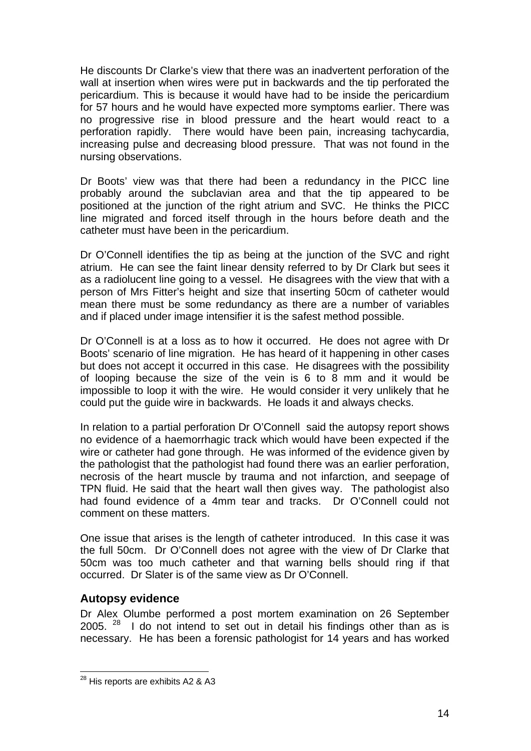He discounts Dr Clarke's view that there was an inadvertent perforation of the wall at insertion when wires were put in backwards and the tip perforated the pericardium. This is because it would have had to be inside the pericardium for 57 hours and he would have expected more symptoms earlier. There was no progressive rise in blood pressure and the heart would react to a perforation rapidly. There would have been pain, increasing tachycardia, increasing pulse and decreasing blood pressure. That was not found in the nursing observations.

Dr Boots' view was that there had been a redundancy in the PICC line probably around the subclavian area and that the tip appeared to be positioned at the junction of the right atrium and SVC. He thinks the PICC line migrated and forced itself through in the hours before death and the catheter must have been in the pericardium.

Dr O'Connell identifies the tip as being at the junction of the SVC and right atrium. He can see the faint linear density referred to by Dr Clark but sees it as a radiolucent line going to a vessel. He disagrees with the view that with a person of Mrs Fitter's height and size that inserting 50cm of catheter would mean there must be some redundancy as there are a number of variables and if placed under image intensifier it is the safest method possible.

Dr O'Connell is at a loss as to how it occurred. He does not agree with Dr Boots' scenario of line migration. He has heard of it happening in other cases but does not accept it occurred in this case. He disagrees with the possibility of looping because the size of the vein is 6 to 8 mm and it would be impossible to loop it with the wire. He would consider it very unlikely that he could put the guide wire in backwards. He loads it and always checks.

In relation to a partial perforation Dr O'Connell said the autopsy report shows no evidence of a haemorrhagic track which would have been expected if the wire or catheter had gone through. He was informed of the evidence given by the pathologist that the pathologist had found there was an earlier perforation, necrosis of the heart muscle by trauma and not infarction, and seepage of TPN fluid. He said that the heart wall then gives way. The pathologist also had found evidence of a 4mm tear and tracks. Dr O'Connell could not comment on these matters.

One issue that arises is the length of catheter introduced. In this case it was the full 50cm. Dr O'Connell does not agree with the view of Dr Clarke that 50cm was too much catheter and that warning bells should ring if that occurred. Dr Slater is of the same view as Dr O'Connell.

## **Autopsy evidence**

1

Dr Alex Olumbe performed a post mortem examination on 26 September 2005.  $28$  I do not intend to set out in detail his findings other than as is necessary. He has been a forensic pathologist for 14 years and has worked

<span id="page-14-0"></span> $^{28}$  His reports are exhibits A2 & A3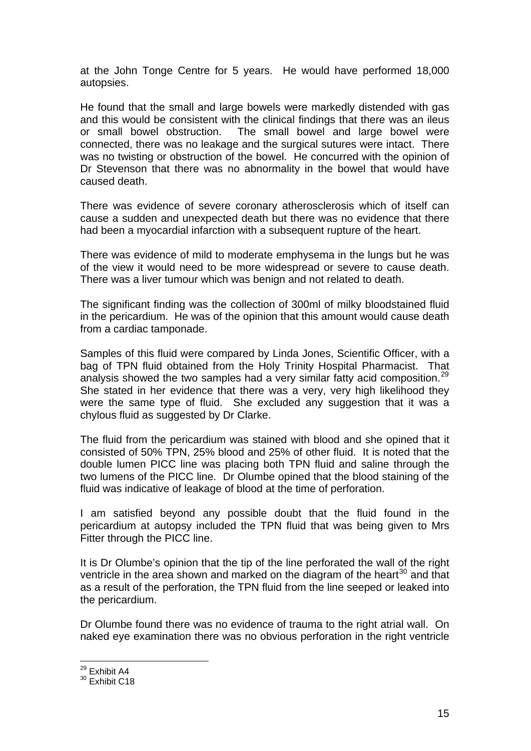at the John Tonge Centre for 5 years. He would have performed 18,000 autopsies.

He found that the small and large bowels were markedly distended with gas and this would be consistent with the clinical findings that there was an ileus or small bowel obstruction. The small bowel and large bowel were connected, there was no leakage and the surgical sutures were intact. There was no twisting or obstruction of the bowel. He concurred with the opinion of Dr Stevenson that there was no abnormality in the bowel that would have caused death.

There was evidence of severe coronary atherosclerosis which of itself can cause a sudden and unexpected death but there was no evidence that there had been a myocardial infarction with a subsequent rupture of the heart.

There was evidence of mild to moderate emphysema in the lungs but he was of the view it would need to be more widespread or severe to cause death. There was a liver tumour which was benign and not related to death.

The significant finding was the collection of 300ml of milky bloodstained fluid in the pericardium. He was of the opinion that this amount would cause death from a cardiac tamponade.

Samples of this fluid were compared by Linda Jones, Scientific Officer, with a bag of TPN fluid obtained from the Holy Trinity Hospital Pharmacist. That analysis showed the two samples had a very similar fatty acid composition.<sup>[29](#page-15-0)</sup> She stated in her evidence that there was a very, very high likelihood they were the same type of fluid. She excluded any suggestion that it was a chylous fluid as suggested by Dr Clarke.

The fluid from the pericardium was stained with blood and she opined that it consisted of 50% TPN, 25% blood and 25% of other fluid. It is noted that the double lumen PICC line was placing both TPN fluid and saline through the two lumens of the PICC line. Dr Olumbe opined that the blood staining of the fluid was indicative of leakage of blood at the time of perforation.

I am satisfied beyond any possible doubt that the fluid found in the pericardium at autopsy included the TPN fluid that was being given to Mrs Fitter through the PICC line.

It is Dr Olumbe's opinion that the tip of the line perforated the wall of the right ventricle in the area shown and marked on the diagram of the heart<sup>[30](#page-15-1)</sup> and that as a result of the perforation, the TPN fluid from the line seeped or leaked into the pericardium.

Dr Olumbe found there was no evidence of trauma to the right atrial wall. On naked eye examination there was no obvious perforation in the right ventricle

<sup>&</sup>lt;sup>29</sup> Exhibit A4

<span id="page-15-1"></span><span id="page-15-0"></span> $30$  Exhibit C18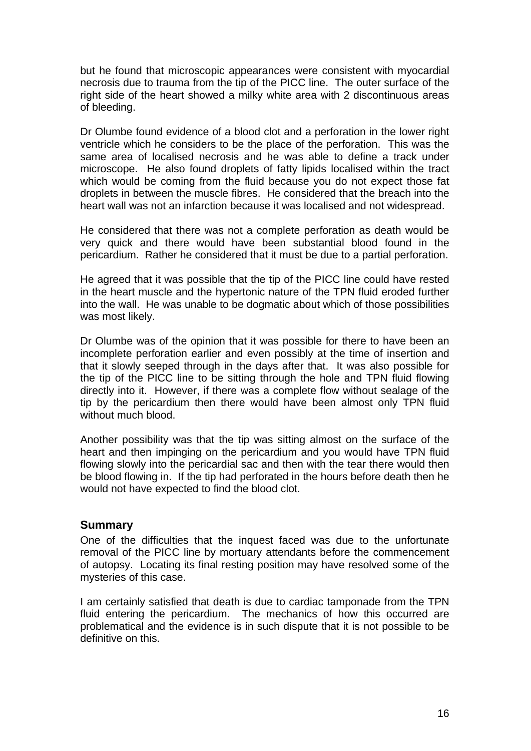but he found that microscopic appearances were consistent with myocardial necrosis due to trauma from the tip of the PICC line. The outer surface of the right side of the heart showed a milky white area with 2 discontinuous areas of bleeding.

Dr Olumbe found evidence of a blood clot and a perforation in the lower right ventricle which he considers to be the place of the perforation. This was the same area of localised necrosis and he was able to define a track under microscope. He also found droplets of fatty lipids localised within the tract which would be coming from the fluid because you do not expect those fat droplets in between the muscle fibres. He considered that the breach into the heart wall was not an infarction because it was localised and not widespread.

He considered that there was not a complete perforation as death would be very quick and there would have been substantial blood found in the pericardium. Rather he considered that it must be due to a partial perforation.

He agreed that it was possible that the tip of the PICC line could have rested in the heart muscle and the hypertonic nature of the TPN fluid eroded further into the wall. He was unable to be dogmatic about which of those possibilities was most likely.

Dr Olumbe was of the opinion that it was possible for there to have been an incomplete perforation earlier and even possibly at the time of insertion and that it slowly seeped through in the days after that. It was also possible for the tip of the PICC line to be sitting through the hole and TPN fluid flowing directly into it. However, if there was a complete flow without sealage of the tip by the pericardium then there would have been almost only TPN fluid without much blood.

Another possibility was that the tip was sitting almost on the surface of the heart and then impinging on the pericardium and you would have TPN fluid flowing slowly into the pericardial sac and then with the tear there would then be blood flowing in. If the tip had perforated in the hours before death then he would not have expected to find the blood clot.

## **Summary**

One of the difficulties that the inquest faced was due to the unfortunate removal of the PICC line by mortuary attendants before the commencement of autopsy. Locating its final resting position may have resolved some of the mysteries of this case.

I am certainly satisfied that death is due to cardiac tamponade from the TPN fluid entering the pericardium. The mechanics of how this occurred are problematical and the evidence is in such dispute that it is not possible to be definitive on this.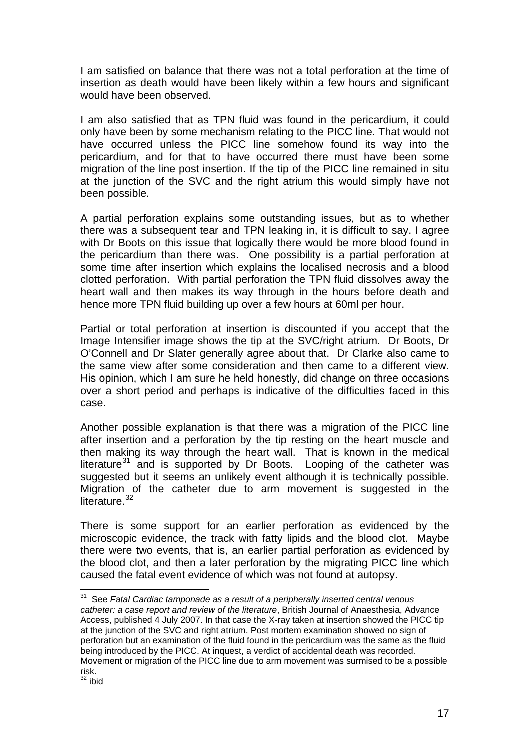I am satisfied on balance that there was not a total perforation at the time of insertion as death would have been likely within a few hours and significant would have been observed.

I am also satisfied that as TPN fluid was found in the pericardium, it could only have been by some mechanism relating to the PICC line. That would not have occurred unless the PICC line somehow found its way into the pericardium, and for that to have occurred there must have been some migration of the line post insertion. If the tip of the PICC line remained in situ at the junction of the SVC and the right atrium this would simply have not been possible.

A partial perforation explains some outstanding issues, but as to whether there was a subsequent tear and TPN leaking in, it is difficult to say. I agree with Dr Boots on this issue that logically there would be more blood found in the pericardium than there was. One possibility is a partial perforation at some time after insertion which explains the localised necrosis and a blood clotted perforation. With partial perforation the TPN fluid dissolves away the heart wall and then makes its way through in the hours before death and hence more TPN fluid building up over a few hours at 60ml per hour.

Partial or total perforation at insertion is discounted if you accept that the Image Intensifier image shows the tip at the SVC/right atrium. Dr Boots, Dr O'Connell and Dr Slater generally agree about that. Dr Clarke also came to the same view after some consideration and then came to a different view. His opinion, which I am sure he held honestly, did change on three occasions over a short period and perhaps is indicative of the difficulties faced in this case.

Another possible explanation is that there was a migration of the PICC line after insertion and a perforation by the tip resting on the heart muscle and then making its way through the heart wall. That is known in the medical literature $31$  and is supported by Dr Boots. Looping of the catheter was suggested but it seems an unlikely event although it is technically possible. Migration of the catheter due to arm movement is suggested in the literature. $32$ 

There is some support for an earlier perforation as evidenced by the microscopic evidence, the track with fatty lipids and the blood clot. Maybe there were two events, that is, an earlier partial perforation as evidenced by the blood clot, and then a later perforation by the migrating PICC line which caused the fatal event evidence of which was not found at autopsy.

<span id="page-17-0"></span><sup>31</sup> See *Fatal Cardiac tamponade as a result of a peripherally inserted central venous catheter: a case report and review of the literature*, British Journal of Anaesthesia, Advance Access, published 4 July 2007. In that case the X-ray taken at insertion showed the PICC tip at the junction of the SVC and right atrium. Post mortem examination showed no sign of perforation but an examination of the fluid found in the pericardium was the same as the fluid being introduced by the PICC. At inquest, a verdict of accidental death was recorded. Movement or migration of the PICC line due to arm movement was surmised to be a possible risk.

<span id="page-17-1"></span> $32$  ibid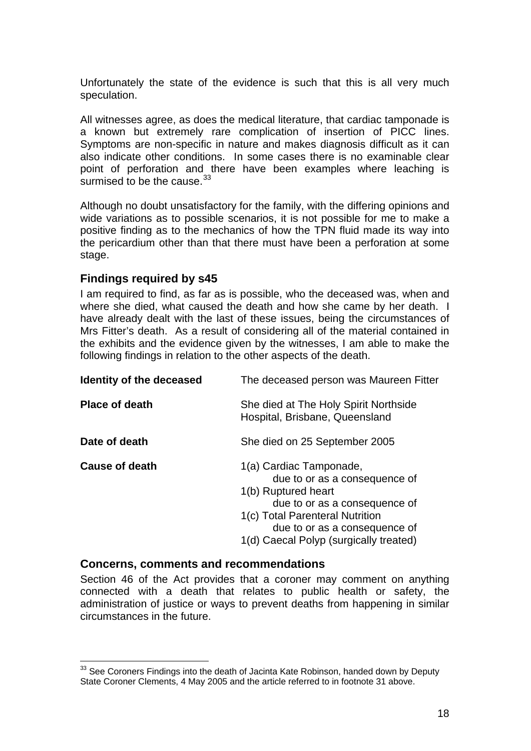Unfortunately the state of the evidence is such that this is all very much speculation.

All witnesses agree, as does the medical literature, that cardiac tamponade is a known but extremely rare complication of insertion of PICC lines. Symptoms are non-specific in nature and makes diagnosis difficult as it can also indicate other conditions. In some cases there is no examinable clear point of perforation and there have been examples where leaching is surmised to be the cause.<sup>[33](#page-18-0)</sup>

Although no doubt unsatisfactory for the family, with the differing opinions and wide variations as to possible scenarios, it is not possible for me to make a positive finding as to the mechanics of how the TPN fluid made its way into the pericardium other than that there must have been a perforation at some stage.

#### **Findings required by s45**

I am required to find, as far as is possible, who the deceased was, when and where she died, what caused the death and how she came by her death. I have already dealt with the last of these issues, being the circumstances of Mrs Fitter's death. As a result of considering all of the material contained in the exhibits and the evidence given by the witnesses, I am able to make the following findings in relation to the other aspects of the death.

| Identity of the deceased | The deceased person was Maureen Fitter                                                                                                                                                                                         |
|--------------------------|--------------------------------------------------------------------------------------------------------------------------------------------------------------------------------------------------------------------------------|
| <b>Place of death</b>    | She died at The Holy Spirit Northside<br>Hospital, Brisbane, Queensland                                                                                                                                                        |
| Date of death            | She died on 25 September 2005                                                                                                                                                                                                  |
| <b>Cause of death</b>    | 1(a) Cardiac Tamponade,<br>due to or as a consequence of<br>1(b) Ruptured heart<br>due to or as a consequence of<br>1(c) Total Parenteral Nutrition<br>due to or as a consequence of<br>1(d) Caecal Polyp (surgically treated) |

#### **Concerns, comments and recommendations**

Section 46 of the Act provides that a coroner may comment on anything connected with a death that relates to public health or safety, the administration of justice or ways to prevent deaths from happening in similar circumstances in the future.

<span id="page-18-0"></span><sup>1</sup> <sup>33</sup> See Coroners Findings into the death of Jacinta Kate Robinson, handed down by Deputy State Coroner Clements, 4 May 2005 and the article referred to in footnote 31 above.